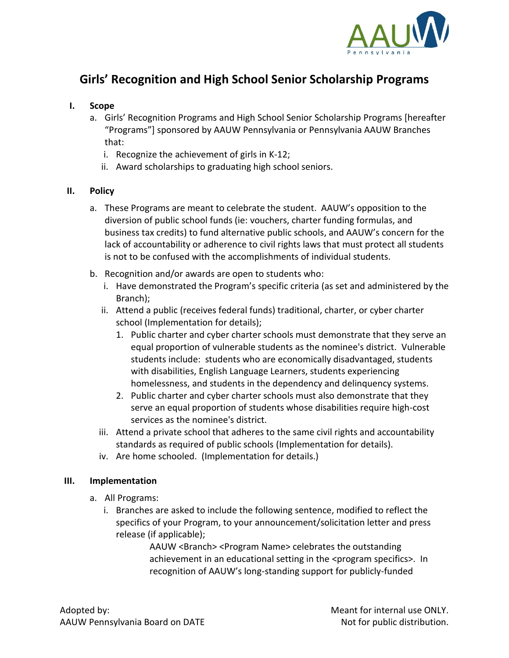

## **Girls' Recognition and High School Senior Scholarship Programs**

## **I. Scope**

- a. Girls' Recognition Programs and High School Senior Scholarship Programs [hereafter "Programs"] sponsored by AAUW Pennsylvania or Pennsylvania AAUW Branches that:
	- i. Recognize the achievement of girls in K-12;
	- ii. Award scholarships to graduating high school seniors.

## **II. Policy**

- a. These Programs are meant to celebrate the student. AAUW's opposition to the diversion of public school funds (ie: vouchers, charter funding formulas, and business tax credits) to fund alternative public schools, and AAUW's concern for the lack of accountability or adherence to civil rights laws that must protect all students is not to be confused with the accomplishments of individual students.
- b. Recognition and/or awards are open to students who:
	- i. Have demonstrated the Program's specific criteria (as set and administered by the Branch);
	- ii. Attend a public (receives federal funds) traditional, charter, or cyber charter school (Implementation for details);
		- 1. Public charter and cyber charter schools must demonstrate that they serve an equal proportion of vulnerable students as the nominee's district. Vulnerable students include: students who are economically disadvantaged, students with disabilities, English Language Learners, students experiencing homelessness, and students in the dependency and delinquency systems.
		- 2. Public charter and cyber charter schools must also demonstrate that they serve an equal proportion of students whose disabilities require high-cost services as the nominee's district.
	- iii. Attend a private school that adheres to the same civil rights and accountability standards as required of public schools (Implementation for details).
	- iv. Are home schooled. (Implementation for details.)

## **III. Implementation**

- a. All Programs:
	- i. Branches are asked to include the following sentence, modified to reflect the specifics of your Program, to your announcement/solicitation letter and press release (if applicable);

AAUW <Branch> <Program Name> celebrates the outstanding achievement in an educational setting in the <program specifics>. In recognition of AAUW's long-standing support for publicly-funded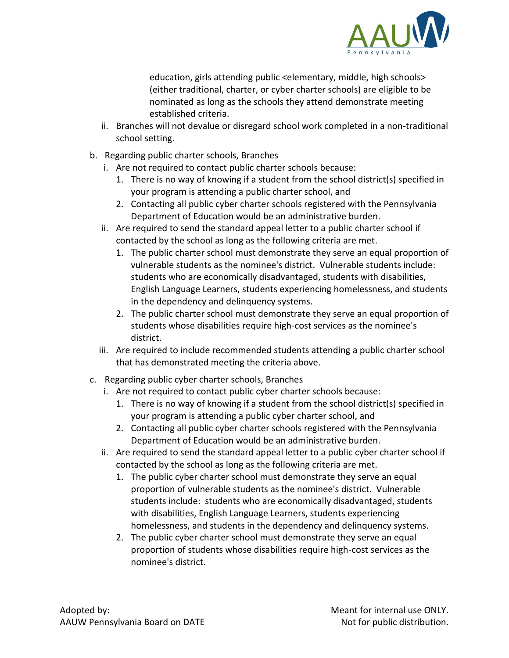

education, girls attending public <elementary, middle, high schools> (either traditional, charter, or cyber charter schools) are eligible to be nominated as long as the schools they attend demonstrate meeting established criteria.

- ii. Branches will not devalue or disregard school work completed in a non-traditional school setting.
- b. Regarding public charter schools, Branches
	- i. Are not required to contact public charter schools because:
		- 1. There is no way of knowing if a student from the school district(s) specified in your program is attending a public charter school, and
		- 2. Contacting all public cyber charter schools registered with the Pennsylvania Department of Education would be an administrative burden.
	- ii. Are required to send the standard appeal letter to a public charter school if contacted by the school as long as the following criteria are met.
		- 1. The public charter school must demonstrate they serve an equal proportion of vulnerable students as the nominee's district. Vulnerable students include: students who are economically disadvantaged, students with disabilities, English Language Learners, students experiencing homelessness, and students in the dependency and delinquency systems.
		- 2. The public charter school must demonstrate they serve an equal proportion of students whose disabilities require high-cost services as the nominee's district.
	- iii. Are required to include recommended students attending a public charter school that has demonstrated meeting the criteria above.
- c. Regarding public cyber charter schools, Branches
	- i. Are not required to contact public cyber charter schools because:
		- 1. There is no way of knowing if a student from the school district(s) specified in your program is attending a public cyber charter school, and
		- 2. Contacting all public cyber charter schools registered with the Pennsylvania Department of Education would be an administrative burden.
	- ii. Are required to send the standard appeal letter to a public cyber charter school if contacted by the school as long as the following criteria are met.
		- 1. The public cyber charter school must demonstrate they serve an equal proportion of vulnerable students as the nominee's district. Vulnerable students include: students who are economically disadvantaged, students with disabilities, English Language Learners, students experiencing homelessness, and students in the dependency and delinquency systems.
		- 2. The public cyber charter school must demonstrate they serve an equal proportion of students whose disabilities require high-cost services as the nominee's district.